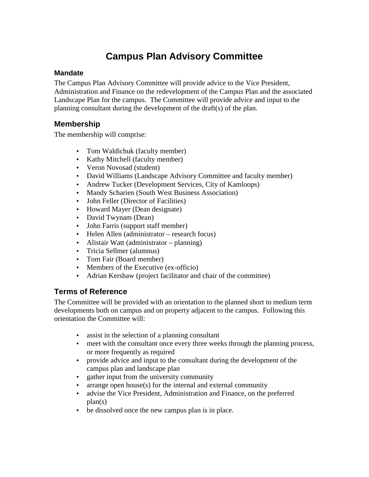# **Campus Plan Advisory Committee**

#### **Mandate**

The Campus Plan Advisory Committee will provide advice to the Vice President, Administration and Finance on the redevelopment of the Campus Plan and the associated Landscape Plan for the campus. The Committee will provide advice and input to the planning consultant during the development of the draft(s) of the plan.

### **Membership**

The membership will comprise:

- Tom Waldichuk (faculty member)
- Kathy Mitchell (faculty member)
- Veron Novosad (student)
- David Williams (Landscape Advisory Committee and faculty member)
- Andrew Tucker (Development Services, City of Kamloops)
- Mandy Scharien (South West Business Association)
- John Feller (Director of Facilities)
- Howard Mayer (Dean designate)
- David Twynam (Dean)
- John Farris (support staff member)
- Helen Allen (administrator research focus)
- Alistair Watt (administrator planning)
- Tricia Sellmer (alumnus)
- Tom Fair (Board member)
- Members of the Executive (ex-officio)
- Adrian Kershaw (project facilitator and chair of the committee)

### **Terms of Reference**

The Committee will be provided with an orientation to the planned short to medium term developments both on campus and on property adjacent to the campus. Following this orientation the Committee will:

- assist in the selection of a planning consultant
- meet with the consultant once every three weeks through the planning process, or more frequently as required
- provide advice and input to the consultant during the development of the campus plan and landscape plan
- gather input from the university community
- arrange open house(s) for the internal and external community
- advise the Vice President, Administration and Finance, on the preferred plan(s)
- be dissolved once the new campus plan is in place.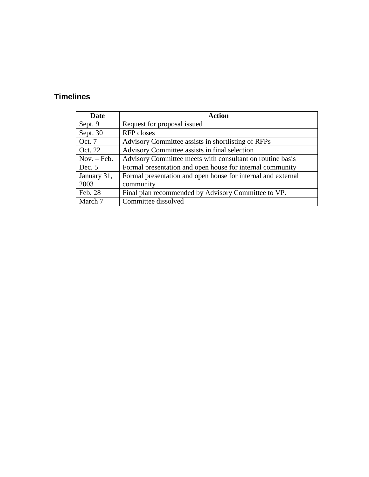## **Timelines**

| Date          | <b>Action</b>                                                |
|---------------|--------------------------------------------------------------|
| Sept. 9       | Request for proposal issued                                  |
| Sept. 30      | RFP closes                                                   |
| Oct. 7        | Advisory Committee assists in shortlisting of RFPs           |
| Oct. 22       | Advisory Committee assists in final selection                |
| $Nov. - Feb.$ | Advisory Committee meets with consultant on routine basis    |
| Dec. $5$      | Formal presentation and open house for internal community    |
| January 31,   | Formal presentation and open house for internal and external |
| 2003          | community                                                    |
| Feb. 28       | Final plan recommended by Advisory Committee to VP.          |
| March 7       | Committee dissolved                                          |